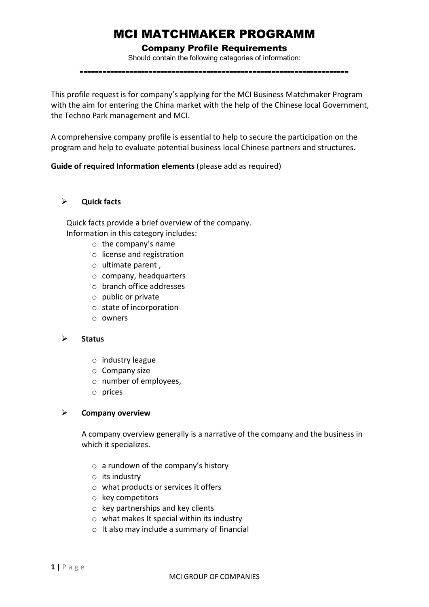# MCI MATCHMAKER PROGRAMM

# Company Profile Requirements

Should contain the following categories of information:

----------------------------------------------------------------------

This profile request is for company's applying for the MCI Business Matchmaker Program with the aim for entering the China market with the help of the Chinese local Government, the Techno Park management and MCI.

A comprehensive company profile is essential to help to secure the participation on the program and help to evaluate potential business local Chinese partners and structures.

**Guide of required Information elements** (please add as required)

# **Quick facts**

Quick facts provide a brief overview of the company. Information in this category includes:

- o the company's name
- o license and registration
- o ultimate parent ,
- o company, headquarters
- o branch office addresses
- o public or private
- o state of incorporation
- o owners

#### **Status**

- o industry league
- o Company size
- o number of employees,
- o prices

## **Company overview**

A company overview generally is a narrative of the company and the business in which it specializes.

- $\circ$  a rundown of the company's history
- $\circ$  its industry
- o what products or services it offers
- o key competitors
- o key partnerships and key clients
- $\circ$  what makes It special within its industry
- o It also may include a summary of financial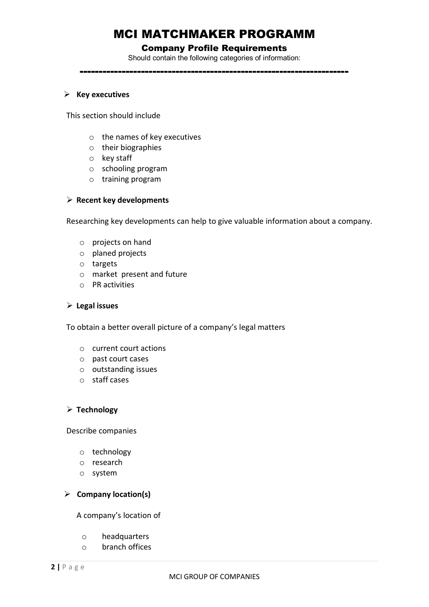# MCI MATCHMAKER PROGRAMM

## Company Profile Requirements

Should contain the following categories of information:

----------------------------------------------------------------------

#### **Key executives**

This section should include

- o the names of key executives
- o their biographies
- o key staff
- o schooling program
- o training program

#### **Recent key developments**

Researching key developments can help to give valuable information about a company.

- o projects on hand
- o planed projects
- o targets
- o market present and future
- o PR activities

#### **Legal issues**

To obtain a better overall picture of a company's legal matters

- o current court actions
- o past court cases
- o outstanding issues
- o staff cases

## **Technology**

Describe companies

- o technology
- o research
- o system

## **Company location(s)**

A company's location of

- o headquarters
- o branch offices